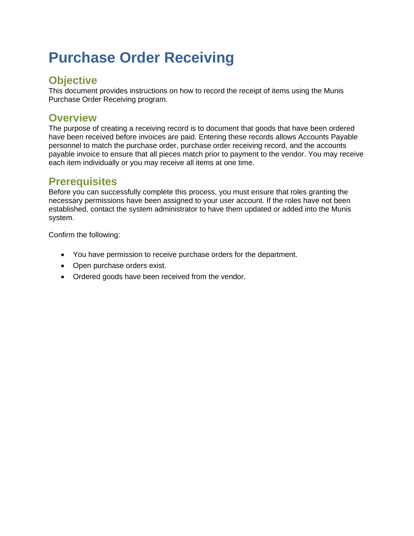# **Purchase Order Receiving**

## **Objective**

This document provides instructions on how to record the receipt of items using the Munis Purchase Order Receiving program.

## **Overview**

The purpose of creating a receiving record is to document that goods that have been ordered have been received before invoices are paid. Entering these records allows Accounts Payable personnel to match the purchase order, purchase order receiving record, and the accounts payable invoice to ensure that all pieces match prior to payment to the vendor. You may receive each item individually or you may receive all items at one time.

## **Prerequisites**

Before you can successfully complete this process, you must ensure that roles granting the necessary permissions have been assigned to your user account. If the roles have not been established, contact the system administrator to have them updated or added into the Munis system.

Confirm the following:

- You have permission to receive purchase orders for the department.
- Open purchase orders exist.
- Ordered goods have been received from the vendor.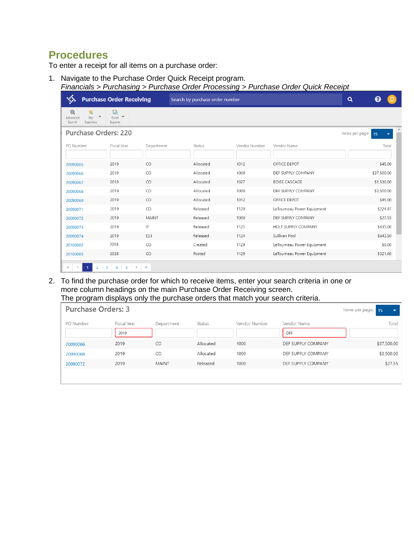## **Procedures**

To enter a receipt for all items on a purchase order:

1. Navigate to the Purchase Order Quick Receipt program.

| Financials > Purchasing > Purchase Order Processing > Purchase Order Quick Receipt |  |  |
|------------------------------------------------------------------------------------|--|--|
|                                                                                    |  |  |

| <b>REA</b>                                                | <b>Purchase Order Receiving</b>                     |                        | Search by purchase order number |               |                            | $\alpha$<br>A              |  |
|-----------------------------------------------------------|-----------------------------------------------------|------------------------|---------------------------------|---------------|----------------------------|----------------------------|--|
| $^\circledR$<br>靑<br>My<br>Advanced<br>Searches<br>Search | 斀<br>$Excel$ $\blacktriangledown$<br>Exports        |                        |                                 |               |                            |                            |  |
|                                                           | <b>Purchase Orders: 220</b>                         |                        |                                 |               |                            | Items per page:<br>15<br>٠ |  |
| PO Number                                                 | Fiscal Year                                         | Department             | Status                          | Vendor Number | Vendor Name                | Total                      |  |
| 20090065                                                  | 2019                                                | CO                     | Allocated                       | 1012          | OFFICE DEPOT               | \$45.00                    |  |
| 20090066                                                  | 2019                                                | CO                     | Allocated                       | 1000          | DEF SUPPLY COMPANY         | \$37,500.00                |  |
| 20090067                                                  | 2019                                                | CO                     | Allocated                       | 1027          | <b>BOISE CASCADE</b>       | \$1,530.00                 |  |
| 20090068                                                  | 2019                                                | CO                     | Allocated                       | 1000          | DEF SUPPLY COMPANY         | \$3,500.00                 |  |
| 20090069                                                  | 2019                                                | CO                     | Allocated                       | 1012          | OFFICE DEPOT               | \$45.00                    |  |
| 20090071                                                  | 2019                                                | CO                     | Released                        | 1129          | LeTourneau Power Equipment | \$224.97                   |  |
| 20090072                                                  | 2019                                                | MAINT                  | Released                        | 1000          | DEF SUPPLY COMPANY         | \$27.55                    |  |
| 20090073                                                  | 2019                                                | IT                     | Released                        | 1125          | HOLT SUPPLY COMPANY        | \$435.00                   |  |
| 20090074                                                  | 2019                                                | ES3                    | Released                        | 1124          | Sullivan Pool              | \$643.50                   |  |
| 20100002                                                  | 2018                                                | CO                     | Created                         | 1129          | LeTourneau Power Equipment | \$0.00                     |  |
| 20100003                                                  | 2018                                                | CO                     | Posted                          | 1129          | LeTourneau Power Equipment | \$321.60                   |  |
| $\ll$<br>$\overline{1}$<br>$\,<\,$                        | $\overline{\mathbf{3}}$<br>$\overline{2}$<br>4<br>5 | $\gg$<br>$\rightarrow$ |                                 |               |                            |                            |  |

2. To find the purchase order for which to receive items, enter your search criteria in one or more column headings on the main Purchase Order Receiving screen. The program displays only the purchase orders that match your search criteria.

| <b>Purchase Orders: 3</b><br>Items per page: 15 |             |              |           |               |                    |             |  |  |  |  |
|-------------------------------------------------|-------------|--------------|-----------|---------------|--------------------|-------------|--|--|--|--|
| PO Number                                       | Fiscal Year | Department   | Status    | Vendor Number | Vendor Name        | Total       |  |  |  |  |
|                                                 | 2019        |              |           |               | DEF                |             |  |  |  |  |
| 20090066                                        | 2019        | CO           | Allocated | 1000          | DEF SUPPLY COMPANY | \$37,500.00 |  |  |  |  |
| 20090068                                        | 2019        | CO           | Allocated | 1000          | DEF SUPPLY COMPANY | \$3,500.00  |  |  |  |  |
| 20090072                                        | 2019        | <b>MAINT</b> | Released  | 1000          | DEF SUPPLY COMPANY | \$27.55     |  |  |  |  |
|                                                 |             |              |           |               |                    |             |  |  |  |  |
|                                                 |             |              |           |               |                    |             |  |  |  |  |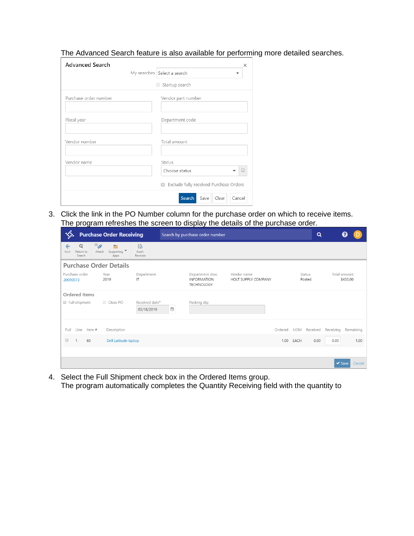The Advanced Search feature is also available for performing more detailed searches.

| <b>Advanced Search</b> | $\times$                                    |
|------------------------|---------------------------------------------|
|                        | My searches   Select a search               |
|                        | Startup search                              |
| Purchase order number  | Vendor part number                          |
| Fiscal year            | Department code                             |
| Vendor number          | Total amount                                |
| Vendor name            | Status<br>Choose status                     |
|                        | Exclude fully received Purchase Orders<br>∩ |
|                        | Search<br>Clear<br>Cancel<br>Save           |

3. Click the link in the PO Number column for the purchase order on which to receive items. The program refreshes the screen to display the details of the purchase order.

| <b>Purchase Order Receiving</b>                                                                                                           | Search by purchase order number                                                           | Q                                            |
|-------------------------------------------------------------------------------------------------------------------------------------------|-------------------------------------------------------------------------------------------|----------------------------------------------|
| $\overline{\mathscr{D}}^{(0)}$<br>Q<br>්ර<br>Ē<br>€<br>Supporting ▼<br>Audit<br>Return to<br>Attach<br>Back<br>Search<br>Apps<br>Receipts |                                                                                           |                                              |
| <b>Purchase Order Details</b>                                                                                                             |                                                                                           |                                              |
| Purchase order<br>Year<br>Department<br>2019<br>IT<br>20090073                                                                            | Department desc<br>Vendor name<br><b>INFORMATION</b><br>HOLT SUPPLY COMPANY<br>TECHNOLOGY | Total amount<br>Status<br>\$435.00<br>Posted |
| Ordered Items                                                                                                                             |                                                                                           |                                              |
| Full shipment<br>Received date*<br>Close PO<br>03/18/2019                                                                                 | Packing slip<br>巤                                                                         |                                              |
| Line<br>Item #<br>Description<br>Full                                                                                                     |                                                                                           | Ordered UOM Received Receiving<br>Remaining  |
| $\Box$<br>Dell Latitude laptop<br>60                                                                                                      | 1.00                                                                                      | EACH<br>0.00<br>0.00<br>1.00                 |
|                                                                                                                                           |                                                                                           |                                              |
|                                                                                                                                           |                                                                                           | $\vee$ Save<br>Cancel                        |

4. Select the Full Shipment check box in the Ordered Items group. The program automatically completes the Quantity Receiving field with the quantity to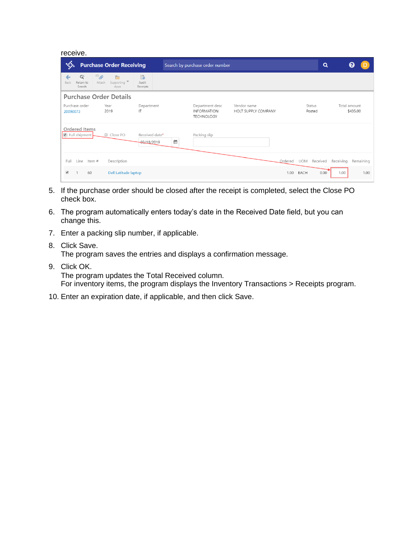| receive. |
|----------|
|          |

| ☜                                                | <b>Purchase Order Receiving</b>                                        |                                   | Search by purchase order number |                                                     |                                    |         |                  | Q        |              |           |
|--------------------------------------------------|------------------------------------------------------------------------|-----------------------------------|---------------------------------|-----------------------------------------------------|------------------------------------|---------|------------------|----------|--------------|-----------|
| $\mathbb{Q}$<br>←<br>Return to<br>Back<br>Search | $^{(0)}$<br>È<br>Attach<br>Supporting $\overline{\phantom{a}}$<br>Apps | $\mathbb{B}$<br>Audit<br>Receipts |                                 |                                                     |                                    |         |                  |          |              |           |
|                                                  | <b>Purchase Order Details</b>                                          |                                   |                                 |                                                     |                                    |         |                  |          |              |           |
| Purchase order<br>20090073                       | Year<br>2019                                                           | Department<br>IT                  |                                 | Department desc<br><b>INFORMATION</b><br>TECHNOLOGY | Vendor name<br>HOLT SUPPLY COMPANY |         | Status<br>Posted |          | Total amount | \$435.00  |
| Ordered Items<br>Full shipment                   | Close PO                                                               | Received date*<br>03/18/2019      | ₩                               | Packing slip                                        |                                    |         |                  |          |              |           |
| Line<br>Full                                     | Item#<br>Description                                                   |                                   |                                 |                                                     |                                    | Ordered | <b>UOM</b>       | Received | Receiving    | Remaining |
| ✔<br>60                                          | Dell Latitude laptop                                                   |                                   |                                 |                                                     |                                    | 1.00    | EACH             | 0.00     | 1.00         | 1.00      |

- 5. If the purchase order should be closed after the receipt is completed, select the Close PO check box.
- 6. The program automatically enters today's date in the Received Date field, but you can change this.
- 7. Enter a packing slip number, if applicable.
- 8. Click Save. The program saves the entries and displays a confirmation message.
- 9. Click OK.

The program updates the Total Received column.

For inventory items, the program displays the Inventory Transactions > Receipts program.

10. Enter an expiration date, if applicable, and then click Save.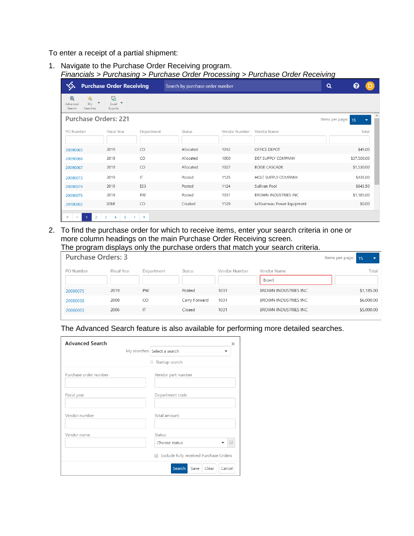To enter a receipt of a partial shipment:

1. Navigate to the Purchase Order Receiving program. *Financials > Purchasing > Purchase Order Processing > Purchase Order Receiving*

| ☜                                                                                     | <b>Purchase Order Receiving</b>                   |            | Search by purchase order number | $\alpha$      | 7                           |                 |                                |  |
|---------------------------------------------------------------------------------------|---------------------------------------------------|------------|---------------------------------|---------------|-----------------------------|-----------------|--------------------------------|--|
| $^{\circledR}$<br>靑<br>$\overline{\mathbf v}$<br>Mv<br>Advanced<br>Searches<br>Search | 朂<br>$\overline{\phantom{a}}$<br>Excel<br>Exports |            |                                 |               |                             |                 |                                |  |
| <b>Purchase Orders: 221</b>                                                           |                                                   |            |                                 |               |                             | Items per page: | 15<br>$\overline{\phantom{a}}$ |  |
| PO Number                                                                             | Fiscal Year                                       | Department | Status                          | Vendor Number | Vendor Name                 |                 | Total                          |  |
| 20090065                                                                              | 2019                                              | CO         | Allocated                       | 1012          | OFFICE DEPOT                |                 | \$45.00                        |  |
| 20090066                                                                              | 2019                                              | CO         | Allocated                       | 1000          | DEF SUPPLY COMPANY          |                 | \$37,500.00                    |  |
| 20090067                                                                              | 2019                                              | CO         | Allocated                       | 1027          | <b>BOISE CASCADE</b>        |                 | \$1,530.00                     |  |
| 20090073                                                                              | 2019                                              | IT         | Posted                          | 1125          | HOLT SUPPLY COMPANY         |                 | \$435.00                       |  |
| 20090074                                                                              | 2019                                              | ES3        | Posted                          | 1124          | Sullivan Pool               |                 | \$643.50                       |  |
| 20090075                                                                              | 2019                                              | PW         | Posted                          | 1031          | <b>BROWN INDUSTRIES INC</b> |                 | \$1,185.00                     |  |
| 20100002                                                                              | 2018                                              | CO         | Created                         | 1129          | LeTourneau Power Equipment  |                 | \$0.00                         |  |
| $\overline{c}$                                                                        | 5<br>3<br>4<br>$\rightarrow$                      | $\gg$      |                                 |               |                             |                 |                                |  |

2. To find the purchase order for which to receive items, enter your search criteria in one or more column headings on the main Purchase Order Receiving screen. The program displays only the purchase orders that match your search criteria.

| <b>Purchase Orders: 3</b> |             |            |               |               |                      | Items per page: 15 | $\overline{\phantom{a}}$ |
|---------------------------|-------------|------------|---------------|---------------|----------------------|--------------------|--------------------------|
| PO Number                 | Fiscal Year | Department | Status        | Vendor Number | Vendor Name          |                    | Total                    |
|                           |             |            |               |               | Brown                |                    |                          |
| 20090075                  | 2019        | PW         | Posted        | 1031          | BROWN INDUSTRIES INC |                    | \$1,185.00               |
| 20080038                  | 2008        | CO         | Carry Forward | 1031          | BROWN INDUSTRIES INC |                    | \$6,000.00               |
| 20060003                  | 2006        | IT         | Closed        | 1031          | BROWN INDUSTRIES INC |                    | \$5,000.00               |
|                           |             |            |               |               |                      |                    |                          |

The Advanced Search feature is also available for performing more detailed searches.

| <b>Advanced Search</b> | $\times$                               |
|------------------------|----------------------------------------|
|                        | My searches Select a search            |
|                        | Startup search                         |
| Purchase order number  | Vendor part number                     |
| Fiscal year            | Department code                        |
| Vendor number          | Total amount                           |
| Vendor name            | Status<br>Choose status                |
|                        | Exclude fully received Purchase Orders |
|                        | Search<br>Clear<br>Save<br>Cancel      |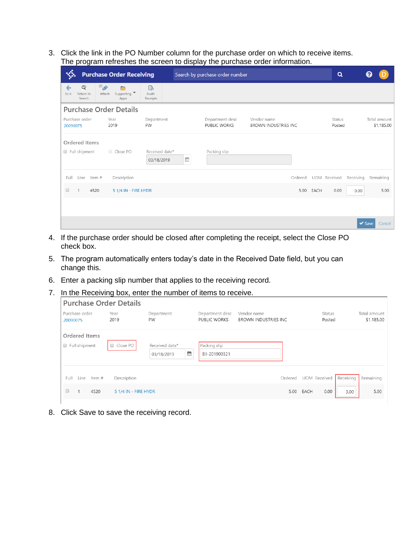3. Click the link in the PO Number column for the purchase order on which to receive items. The program refreshes the screen to display the purchase order information.

|                                                  |                               | <b>Purchase Order Receiving</b>       |                                                |   | Search by purchase order number |                                            |         |      | Q                       |           |                            |                            |
|--------------------------------------------------|-------------------------------|---------------------------------------|------------------------------------------------|---|---------------------------------|--------------------------------------------|---------|------|-------------------------|-----------|----------------------------|----------------------------|
| $\mathbb{Q}$<br>←<br>Back<br>Return to<br>Search | $\mathscr{D}^{(0)}$<br>Attach | <b>Contract</b><br>Supporting<br>Apps | $\mathbf{a}^{\mathsf{H}}$<br>Audit<br>Receipts |   |                                 |                                            |         |      |                         |           |                            |                            |
|                                                  |                               | <b>Purchase Order Details</b>         |                                                |   |                                 |                                            |         |      |                         |           |                            |                            |
| Purchase order<br>20090075                       |                               | Year<br>2019                          | Department<br>PW                               |   | Department desc<br>PUBLIC WORKS | Vendor name<br><b>BROWN INDUSTRIES INC</b> |         |      | <b>Status</b><br>Posted |           |                            | Total amount<br>\$1,185.00 |
| Ordered Items                                    |                               |                                       |                                                |   |                                 |                                            |         |      |                         |           |                            |                            |
| Full shipment                                    |                               | Close PO                              | Received date*<br>03/18/2019                   | m | Packing slip                    |                                            |         |      |                         |           |                            |                            |
| Full<br>Line                                     | Item #                        | Description                           |                                                |   |                                 |                                            | Ordered |      | UOM Received            | Receiving |                            | Remaining                  |
| $\Box$<br>$\mathbf{1}$                           | 4520                          | 5 1/4 IN - FIRE HYDR                  |                                                |   |                                 |                                            | 5.00    | EACH | 0.00                    | 0.00      |                            | 5.00                       |
|                                                  |                               |                                       |                                                |   |                                 |                                            |         |      |                         |           |                            |                            |
|                                                  |                               |                                       |                                                |   |                                 |                                            |         |      |                         |           | $\blacktriangleright$ Save | Cancel                     |

- 4. If the purchase order should be closed after completing the receipt, select the Close PO check box.
- 5. The program automatically enters today's date in the Received Date field, but you can change this.
- 6. Enter a packing slip number that applies to the receiving record.
- 7. In the Receiving box, enter the number of items to receive.

| Purchase order<br>20090075 |               |        | <b>Purchase Order Details</b><br>Year<br>2019 | Department<br>PW             |   | Department desc<br>PUBLIC WORKS | Vendor name<br>BROWN INDUSTRIES INC |         |           | Status<br>Posted    |           | Total amount<br>\$1,185.00 |
|----------------------------|---------------|--------|-----------------------------------------------|------------------------------|---|---------------------------------|-------------------------------------|---------|-----------|---------------------|-----------|----------------------------|
| Ordered Items<br>$\Box$    | Full shipment |        | Close PO<br>$\Box$                            | Received date*<br>03/18/2019 | ₩ | Packing slip<br>BII-201900321   |                                     |         |           |                     |           |                            |
| Full                       | Line          | Item # | Description                                   |                              |   |                                 |                                     | Ordered |           | <b>UOM</b> Received | Receiving | Remaining                  |
| $\Box$                     | $\mathbf{1}$  | 4520   | 5 1/4 IN - FIRE HYDR                          |                              |   |                                 |                                     |         | 5.00 EACH | 0.00                | 3.00      | 5.00                       |

8. Click Save to save the receiving record.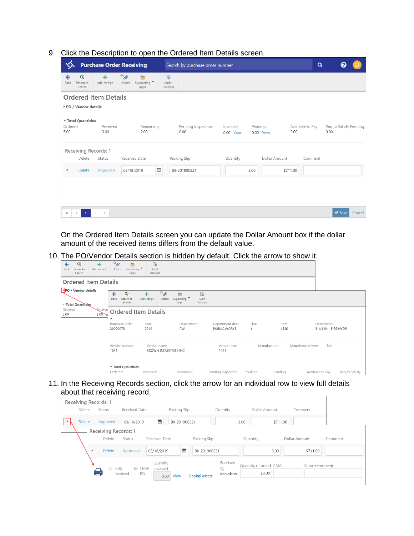9. Click the Description to open the Ordered Item Details screen.

|                       | <b>Purchase Order Receiving</b>     |                             |                    |                                              |   |                         | Search by purchase order number |                       |         |               |          | Q                |                                |             |        |
|-----------------------|-------------------------------------|-----------------------------|--------------------|----------------------------------------------|---|-------------------------|---------------------------------|-----------------------|---------|---------------|----------|------------------|--------------------------------|-------------|--------|
| ←<br>Back             | $\mathbb{Q}$<br>Return to<br>Search | ٠<br>Add receipt            | $^{(0)}$<br>Attach | E<br>Supporting $\blacktriangledown$<br>Apps |   | ිර<br>Audit<br>Receipts |                                 |                       |         |               |          |                  |                                |             |        |
|                       |                                     | <b>Ordered Item Details</b> |                    |                                              |   |                         |                                 |                       |         |               |          |                  |                                |             |        |
|                       | PO / Vendor details                 |                             |                    |                                              |   |                         |                                 |                       |         |               |          |                  |                                |             |        |
| Ordered<br>5.00       | ▼ Total Quantities                  | Received<br>3.00            |                    | Remaining<br>2.00                            |   |                         | Pending Inspection<br>0.00      | Invoiced<br>0.00 View | Pending | 0.00 View     | 3.00     | Available to Pay | Req to Satisfy Pending<br>0.00 |             |        |
|                       |                                     | Receiving Records: 1        |                    |                                              |   |                         |                                 |                       |         |               |          |                  |                                |             |        |
|                       | Delete                              | Status                      |                    | Received Date                                |   |                         | Packing Slip                    | Quantity              |         | Dollar Amount |          | Comment          |                                |             |        |
| $\blacktriangleright$ | <b>Delete</b>                       | Approved                    |                    | 03/18/2019                                   | ₩ |                         | BII-201900321                   |                       | 3.00    |               | \$711.00 |                  |                                |             |        |
|                       |                                     |                             |                    |                                              |   |                         |                                 |                       |         |               |          |                  |                                |             |        |
|                       |                                     |                             |                    |                                              |   |                         |                                 |                       |         |               |          |                  |                                |             |        |
| $\ll$                 | $\mathbf{1}$<br>$\langle$           | $\,>\,$<br>$\gg$            |                    |                                              |   |                         |                                 |                       |         |               |          |                  |                                | $\vee$ Save | Cancel |

On the Ordered Item Details screen you can update the Dollar Amount box if the dollar amount of the received items differs from the default value.

10. The PO/Vendor Details section is hidden by default. Click the arrow to show it.

| $\mathbb{Q}$<br>٠<br>←<br>Add receipt<br>Back<br>Return to<br>Search | $^{(0)}$<br>$\overline{ }$<br>Attach<br>Supporting<br>Apps  | $\mathbb{B}$<br>Audit<br>Receipts      |                                                                |                                 |              |              |                                     |                |
|----------------------------------------------------------------------|-------------------------------------------------------------|----------------------------------------|----------------------------------------------------------------|---------------------------------|--------------|--------------|-------------------------------------|----------------|
| <b>Ordered Item Details</b>                                          |                                                             |                                        |                                                                |                                 |              |              |                                     |                |
| PO / Vendor details<br>▼ Total Quantities                            | $\mathbb{Q}$<br>$\leftarrow$<br>Back<br>Return to<br>Search | $^{(0)}$<br>٠<br>Add receipt<br>Attach | $\mathbb{B}^a$<br>E<br>Supporting<br>Audit<br>Receipts<br>Apps |                                 |              |              |                                     |                |
| Ordered<br>Receive<br>3.00<br>5.00                                   | <b>Ordered Item Details</b><br>$\overline{\phantom{a}}$     |                                        |                                                                |                                 |              |              |                                     |                |
|                                                                      | Purchase order<br>20090075                                  | Year<br>2019                           | Department<br>PW                                               | Department desc<br>PUBLIC WORKS | Line         | Item<br>4520 | Description<br>5 1/4 IN - FIRE HYDR |                |
|                                                                      | Vendor number<br>1031                                       | Vendor name<br>BROWN INDUSTRIES INC    |                                                                | Vendor item<br>1031             | Manufacturer |              | Manufacturer item<br>Bid            |                |
|                                                                      | ▼ Total Quantities<br>Ordered                               | Received                               | Remaining                                                      | Pending Inspection              | Invoiced     | Pending      | Available to Pay                    | Reg to Satisfy |

11. In the Receiving Records section, click the arrow for an individual row to view full details about that receiving record.

|                         | Receiving Records: 1        |                         |                                      |                    |                             |                       |          |                |         |
|-------------------------|-----------------------------|-------------------------|--------------------------------------|--------------------|-----------------------------|-----------------------|----------|----------------|---------|
| Delete                  | Status                      | Received Date           |                                      | Packing Slip       | Quantity                    | Dollar Amount         |          | Comment        |         |
| <b>Delete</b>           | Approved                    | 03/18/2019              | ₩                                    | BII-201900321      |                             | 3.00                  | \$711.00 |                |         |
|                         | <b>Receiving Records: 1</b> |                         |                                      |                    |                             |                       |          |                |         |
|                         | Delete                      | Status                  | Received Date                        | Packing Slip       |                             | Quantity              |          | Dollar Amount  | Comment |
| $\overline{\mathbf{v}}$ | <b>Delete</b>               | Approved                | 03/18/2019                           | 笽<br>BII-201900321 |                             |                       | 3.00     | \$711.00       |         |
|                         | Fully<br>$\Box$             | Close<br>invoiced<br>PO | Quantity<br>invoiced<br>View<br>0.00 | Capital assets     | Received<br>by<br>dan.olson | Quantity returned RMA | \$0.00   | Return comment |         |
|                         |                             |                         |                                      |                    |                             |                       |          |                |         |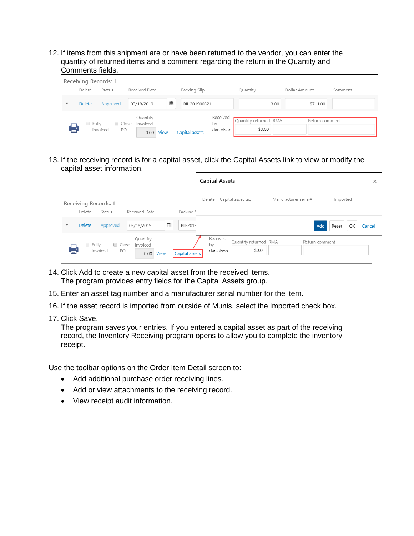12. If items from this shipment are or have been returned to the vendor, you can enter the quantity of returned items and a comment regarding the return in the Quantity and Comments fields.

|                          | Receiving Records: 1 |                           |                                      |                |                             |                                 |               |                |
|--------------------------|----------------------|---------------------------|--------------------------------------|----------------|-----------------------------|---------------------------------|---------------|----------------|
|                          | Delete               | Status                    | Received Date                        | Packing Slip   |                             | Quantity                        | Dollar Amount | Comment        |
| $\overline{\phantom{a}}$ | Delete               | Approved                  | Ê<br>03/18/2019                      | BII-201900321  |                             | 3.00                            |               | \$711.00       |
| ē                        | $\Box$ Fully         | □ Close<br>invoiced<br>PO | Quantity<br>invoiced<br>View<br>0.00 | Capital assets | Received<br>by<br>dan.olson | Quantity returned RMA<br>\$0.00 |               | Return comment |

13. If the receiving record is for a capital asset, click the Capital Assets link to view or modify the capital asset information.

|                          |                                |                           |                                      |                | <b>Capital Assets</b>       |                                 |                      |                    | ×      |
|--------------------------|--------------------------------|---------------------------|--------------------------------------|----------------|-----------------------------|---------------------------------|----------------------|--------------------|--------|
|                          | Receiving Records: 1<br>Delete | Status                    | Received Date                        | Packing        | Delete                      | Capital asset tag               | Manufacturer serial# | Imported           |        |
| $\overline{\phantom{a}}$ | Delete                         | Approved                  | 巤<br>03/18/2019                      | BII-2019       |                             |                                 |                      | Add<br>OK<br>Reset | Cancel |
|                          | $\Box$ Fully                   | □ Close<br>invoiced<br>PO | Quantity<br>invoiced<br>View<br>0.00 | Capital assets | Received<br>by<br>dan.olson | Quantity returned RMA<br>\$0.00 |                      | Return comment     |        |

- 14. Click Add to create a new capital asset from the received items. The program provides entry fields for the Capital Assets group.
- 15. Enter an asset tag number and a manufacturer serial number for the item.
- 16. If the asset record is imported from outside of Munis, select the Imported check box.
- 17. Click Save.

The program saves your entries. If you entered a capital asset as part of the receiving record, the Inventory Receiving program opens to allow you to complete the inventory receipt.

Use the toolbar options on the Order Item Detail screen to:

- Add additional purchase order receiving lines.
- Add or view attachments to the receiving record.
- View receipt audit information.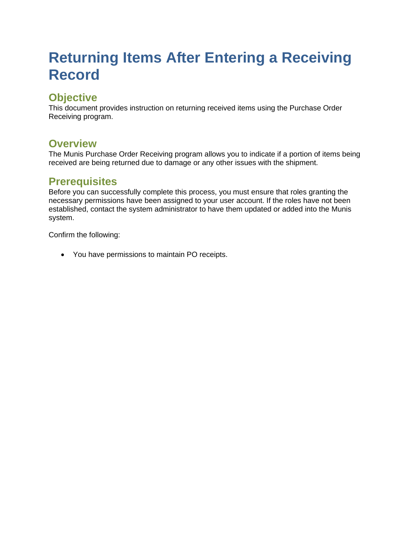## **Returning Items After Entering a Receiving Record**

## **Objective**

This document provides instruction on returning received items using the Purchase Order Receiving program.

#### **Overview**

The Munis Purchase Order Receiving program allows you to indicate if a portion of items being received are being returned due to damage or any other issues with the shipment.

#### **Prerequisites**

Before you can successfully complete this process, you must ensure that roles granting the necessary permissions have been assigned to your user account. If the roles have not been established, contact the system administrator to have them updated or added into the Munis system.

Confirm the following:

• You have permissions to maintain PO receipts.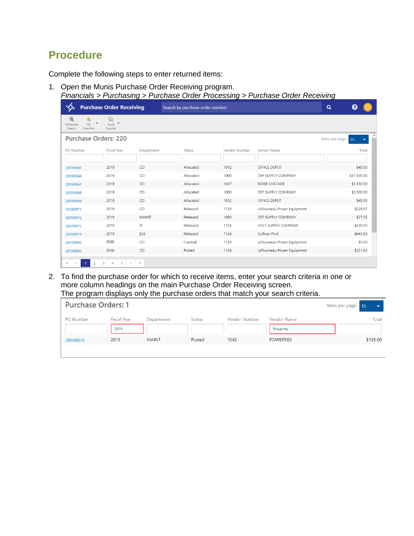## **Procedure**

Complete the following steps to enter returned items:

1. Open the Munis Purchase Order Receiving program. *Financials > Purchasing > Purchase Order Processing > Purchase Order Receiving*

|                                                           | <b>Purchase Order Receiving</b>                                             |             | Search by purchase order number |               | $\alpha$                   |                 |             |        |
|-----------------------------------------------------------|-----------------------------------------------------------------------------|-------------|---------------------------------|---------------|----------------------------|-----------------|-------------|--------|
| $^\circledR$<br>∗<br>Mv<br>Advanced<br>Searches<br>Search | 镼<br>$Excel$ $\rightarrow$<br>Exports                                       |             |                                 |               |                            |                 |             |        |
| <b>Purchase Orders: 220</b>                               |                                                                             |             |                                 |               |                            | Items per page: | 15          |        |
| PO Number                                                 | Fiscal Year                                                                 | Department  | Status                          | Vendor Number | Vendor Name                |                 |             | Total  |
| 20090065                                                  | 2019                                                                        | CO          | Allocated                       | 1012          | OFFICE DEPOT               |                 | \$45.00     |        |
| 20090066                                                  | 2019                                                                        | CO          | Allocated                       | 1000          | DEF SUPPLY COMPANY         |                 | \$37,500.00 |        |
| 20090067                                                  | 2019                                                                        | CO          | Allocated                       | 1027          | <b>BOISE CASCADE</b>       |                 | \$1,530.00  |        |
| 20090068                                                  | 2019                                                                        | CO          | Allocated                       | 1000          | DEF SUPPLY COMPANY         |                 | \$3,500.00  |        |
| 20090069                                                  | 2019                                                                        | CO          | Allocated                       | 1012          | OFFICE DEPOT               |                 | \$45.00     |        |
| 20090071                                                  | 2019                                                                        | CO          | Released                        | 1129          | LeTourneau Power Equipment |                 | \$224.97    |        |
| 20090072                                                  | 2019                                                                        | MAINT       | Released                        | 1000          | DEF SUPPLY COMPANY         |                 | \$27.55     |        |
| 20090073                                                  | 2019                                                                        | IT          | Released                        | 1125          | HOLT SUPPLY COMPANY        |                 | \$435.00    |        |
| 20090074                                                  | 2019                                                                        | ES3         | Released                        | 1124          | Sullivan Pool              |                 | \$643.50    |        |
| 20100002                                                  | 2018                                                                        | CO          | Created                         | 1129          | LeTourneau Power Equipment |                 |             | \$0.00 |
| 20100003<br>$\overline{2}$<br>$\ll$<br>$\langle$          | 2018<br>$5 -$<br>$\overline{\mathbf{3}}$<br>$\overline{4}$<br>$\rightarrow$ | CO<br>$\gg$ | Posted                          | 1129          | LeTourneau Power Equipment |                 | \$321.60    |        |

2. To find the purchase order for which to receive items, enter your search criteria in one or more column headings on the main Purchase Order Receiving screen. The program displays only the purchase orders that match your search criteria.

| <b>Purchase Orders: 1</b> |                     |              |        |               |                         | Items per page: 15 |
|---------------------------|---------------------|--------------|--------|---------------|-------------------------|--------------------|
| PO Number                 | Fiscal Year<br>2019 | Department   | Status | Vendor Number | Vendor Name<br>Powerrex | Total              |
| 20090076                  | 2019                | <b>MAINT</b> | Posted | 1042          | <b>POWERREX</b>         | \$135.00           |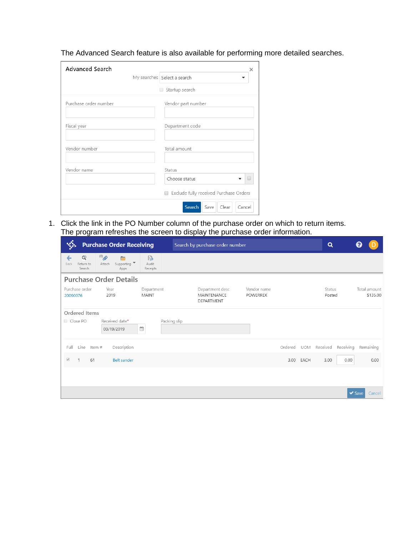The Advanced Search feature is also available for performing more detailed searches.

| <b>Advanced Search</b> | ×                                           |
|------------------------|---------------------------------------------|
|                        | My searches Select a search                 |
|                        | Startup search                              |
| Purchase order number  | Vendor part number                          |
| Fiscal year            | Department code                             |
| Vendor number          | Total amount                                |
| Vendor name            | Status                                      |
|                        | Choose status                               |
|                        | Exclude fully received Purchase Orders<br>∩ |
|                        | Search<br>Save<br>Clear<br>Cancel           |

1. Click the link in the PO Number column of the purchase order on which to return items. The program refreshes the screen to display the purchase order information.

|           | <b>Purchase Order Receiving</b>     |             |                                                                    |                        |              |  | Search by purchase order number              |  |                                |         |            |                  |           |                            |                          |
|-----------|-------------------------------------|-------------|--------------------------------------------------------------------|------------------------|--------------|--|----------------------------------------------|--|--------------------------------|---------|------------|------------------|-----------|----------------------------|--------------------------|
| ←<br>Back | $\mathbb{Q}$<br>Return to<br>Search |             | $^{(0)}$<br>Ē<br>Supporting $\blacktriangledown$<br>Attach<br>Apps | ු<br>Audit<br>Receipts |              |  |                                              |  |                                |         |            |                  |           |                            |                          |
|           |                                     |             | <b>Purchase Order Details</b>                                      |                        |              |  |                                              |  |                                |         |            |                  |           |                            |                          |
| 20090076  | Purchase order                      |             | Year<br>2019                                                       | Department<br>MAINT    |              |  | Department desc<br>MAINTENANCE<br>DEPARTMENT |  | Vendor name<br><b>POWERREX</b> |         |            | Status<br>Posted |           |                            | Total amount<br>\$135.00 |
|           | Ordered Items                       |             |                                                                    |                        |              |  |                                              |  |                                |         |            |                  |           |                            |                          |
|           | Close PO                            |             | Received date*<br>03/19/2019                                       | ₩                      | Packing slip |  |                                              |  |                                |         |            |                  |           |                            |                          |
| Full      |                                     | Line Item # | Description                                                        |                        |              |  |                                              |  |                                | Ordered | <b>UOM</b> | Received         | Receiving |                            | Remaining                |
| $\omega$  |                                     | 61          | <b>Belt sander</b>                                                 |                        |              |  |                                              |  |                                |         | 3.00 EACH  | 3.00             | 0.00      |                            | 0.00                     |
|           |                                     |             |                                                                    |                        |              |  |                                              |  |                                |         |            |                  |           |                            |                          |
|           |                                     |             |                                                                    |                        |              |  |                                              |  |                                |         |            |                  |           | $\blacktriangleright$ Save | Cancel                   |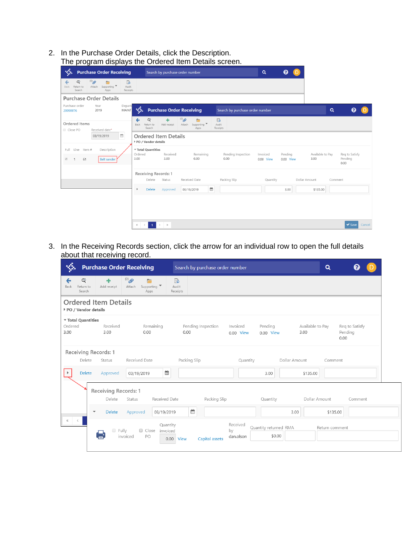2. In the Purchase Order Details, click the Description. The program displays the Ordered Item Details screen.

| ₩                                     |                          | <b>Purchase Order Receiving</b> |                                   |                        |                       |                          |                                | Search by purchase order number               |   |                                       |                                 |          | $\alpha$  |                      |                          |          |                                   |        |
|---------------------------------------|--------------------------|---------------------------------|-----------------------------------|------------------------|-----------------------|--------------------------|--------------------------------|-----------------------------------------------|---|---------------------------------------|---------------------------------|----------|-----------|----------------------|--------------------------|----------|-----------------------------------|--------|
| <b>Back</b>                           | Q<br>Return to<br>Search | $^{(0)}$<br>Attach              | E<br>Supporting<br>Apps           | ී<br>Audit<br>Receipts |                       |                          |                                |                                               |   |                                       |                                 |          |           |                      |                          |          |                                   |        |
|                                       |                          | <b>Purchase Order Details</b>   |                                   |                        |                       |                          |                                |                                               |   |                                       |                                 |          |           |                      |                          |          |                                   |        |
| Purchase order<br>20090076            |                          | Year<br>2019                    |                                   | Depart<br>MAINT        | xx.                   |                          |                                | <b>Purchase Order Receiving</b>               |   |                                       | Search by purchase order number |          |           |                      |                          | $\alpha$ |                                   |        |
| Close PO                              | Ordered Items            | Received date*                  |                                   |                        | Back                  | Q<br>Return to<br>Search | Add receipt                    | $^{(0)}$<br>E<br>Supporting<br>Attach<br>Apps |   | $\mathbb{F}_0^n$<br>Audit<br>Receipts |                                 |          |           |                      |                          |          |                                   |        |
|                                       |                          | 03/19/2019                      |                                   | $\widehat{\boxplus}$   |                       | PO / Vendor details      | <b>Ordered Item Details</b>    |                                               |   |                                       |                                 |          |           |                      |                          |          |                                   |        |
| Full<br>$\mathcal{A}$<br>$\mathbf{1}$ | Line Item #<br>61        |                                 | Description<br><b>Belt sander</b> |                        | Ordered<br>3.00       | Total Quantities         | Received<br>3.00               | Remaining<br>0.00                             |   | 0.00                                  | Pending Inspection              | Invoiced | 0.00 View | Pending<br>0.00 View | Available to Pay<br>3.00 |          | Req to Satisfy<br>Pending<br>0.00 |        |
|                                       |                          |                                 |                                   |                        |                       | Delete                   | Receiving Records: 1<br>Status | Received Date                                 |   | Packing Slip                          |                                 |          | Quantity  |                      | Dollar Amount            | Comment  |                                   |        |
|                                       |                          |                                 |                                   |                        | $\blacktriangleright$ | Delete                   | Approved                       | 03/19/2019                                    | ₩ |                                       |                                 |          |           | 3.00                 | \$135.00                 |          |                                   |        |
|                                       |                          |                                 |                                   |                        |                       |                          |                                |                                               |   |                                       |                                 |          |           |                      |                          |          |                                   |        |
|                                       |                          |                                 |                                   |                        | $\ll$ $\ll$ $\sim$    | $\mathbf{1}$             | $\rightarrow$ $\rightarrow$    |                                               |   |                                       |                                 |          |           |                      |                          |          | $\vee$ Save                       | Cancel |

3. In the Receiving Records section, click the arrow for an individual row to open the full details about that receiving record.

|                                                                   |                                | <b>Purchase Order Receiving</b>                 | Search by purchase order number |                             |                                 | $\alpha$                             |                                   |
|-------------------------------------------------------------------|--------------------------------|-------------------------------------------------|---------------------------------|-----------------------------|---------------------------------|--------------------------------------|-----------------------------------|
| Q<br>←<br>Return to<br>Back<br>Search                             | Add receipt                    | $^{(0)}$<br>Supporting<br>Attach<br>Apps        | ්ර<br>Audit<br>Receipts         |                             |                                 |                                      |                                   |
| <b>Ordered Item Details</b><br>PO / Vendor details                |                                |                                                 |                                 |                             |                                 |                                      |                                   |
| Total Quantities<br>Ordered<br>3.00                               | Received<br>3.00               | Remaining<br>0.00                               | Pending Inspection<br>0.00      | Invoiced<br>0.00 View       | Pending<br>0.00 View            | Available to Pay<br>3.00             | Req to Satisfy<br>Pending<br>0.00 |
| Receiving Records: 1<br>Delete<br>Delete<br>$\blacktriangleright$ | Status<br>Approved             | Received Date<br>≝<br>03/19/2019                | Packing Slip                    | Quantity                    | 3.00                            | Dollar Amount<br>Comment<br>\$135.00 |                                   |
|                                                                   | Receiving Records: 1<br>Delete | Received Date<br>Status                         | Packing Slip                    |                             | Quantity                        | Dollar Amount                        | Comment                           |
| $\overline{\phantom{a}}$<br>$\ll$<br>$\langle$                    | <b>Delete</b>                  | Approved<br>03/19/2019                          | ÊÊ                              |                             |                                 | 3.00                                 | \$135.00                          |
|                                                                   | $\Box$ Fully                   | Quantity<br>Close<br>invoiced<br>invoiced<br>PO | Capital assets<br>0.00 View     | Received<br>by<br>dan.olson | Quantity returned RMA<br>\$0.00 | Return comment                       |                                   |